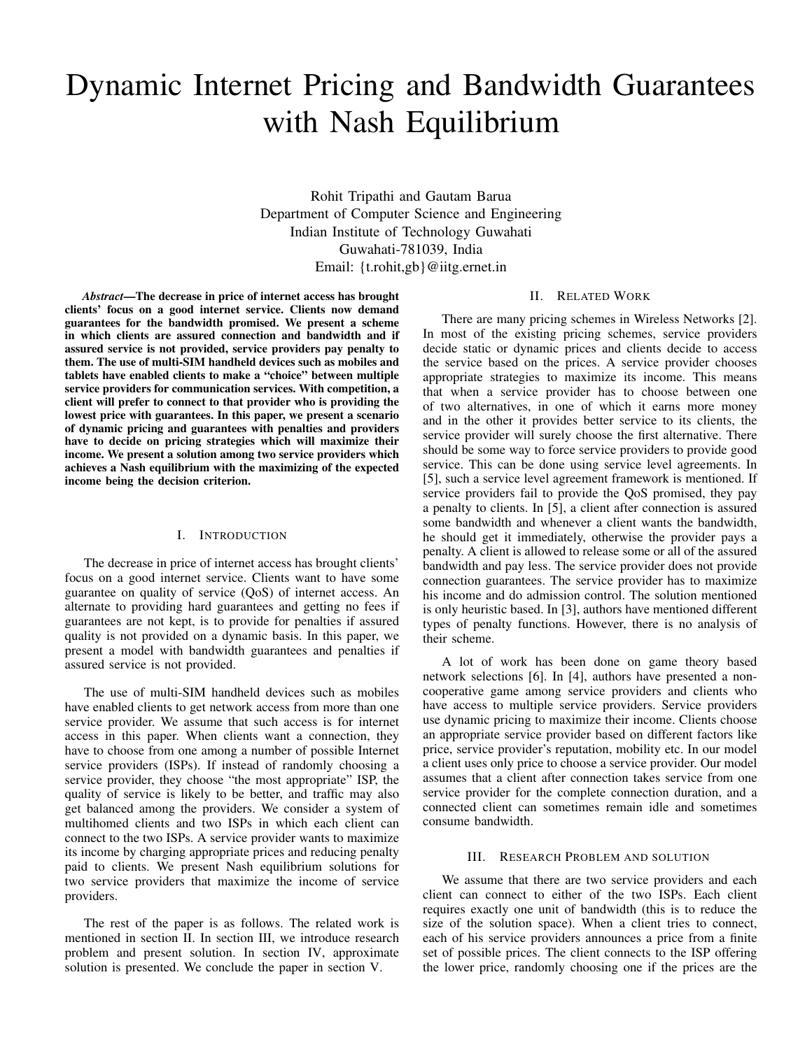# Dynamic Internet Pricing and Bandwidth Guarantees with Nash Equilibrium

Rohit Tripathi and Gautam Barua Department of Computer Science and Engineering Indian Institute of Technology Guwahati Guwahati-781039, India Email: {t.rohit,gb}@iitg.ernet.in

*Abstract*—The decrease in price of internet access has brought clients' focus on a good internet service. Clients now demand guarantees for the bandwidth promised. We present a scheme in which clients are assured connection and bandwidth and if assured service is not provided, service providers pay penalty to them. The use of multi-SIM handheld devices such as mobiles and tablets have enabled clients to make a "choice" between multiple service providers for communication services. With competition, a client will prefer to connect to that provider who is providing the lowest price with guarantees. In this paper, we present a scenario of dynamic pricing and guarantees with penalties and providers have to decide on pricing strategies which will maximize their income. We present a solution among two service providers which achieves a Nash equilibrium with the maximizing of the expected income being the decision criterion.

## I. INTRODUCTION

The decrease in price of internet access has brought clients' focus on a good internet service. Clients want to have some guarantee on quality of service (QoS) of internet access. An alternate to providing hard guarantees and getting no fees if guarantees are not kept, is to provide for penalties if assured quality is not provided on a dynamic basis. In this paper, we present a model with bandwidth guarantees and penalties if assured service is not provided.

The use of multi-SIM handheld devices such as mobiles have enabled clients to get network access from more than one service provider. We assume that such access is for internet access in this paper. When clients want a connection, they have to choose from one among a number of possible Internet service providers (ISPs). If instead of randomly choosing a service provider, they choose "the most appropriate" ISP, the quality of service is likely to be better, and traffic may also get balanced among the providers. We consider a system of multihomed clients and two ISPs in which each client can connect to the two ISPs. A service provider wants to maximize its income by charging appropriate prices and reducing penalty paid to clients. We present Nash equilibrium solutions for two service providers that maximize the income of service providers.

The rest of the paper is as follows. The related work is mentioned in section II. In section III, we introduce research problem and present solution. In section IV, approximate solution is presented. We conclude the paper in section V.

## II. RELATED WORK

There are many pricing schemes in Wireless Networks [2]. In most of the existing pricing schemes, service providers decide static or dynamic prices and clients decide to access the service based on the prices. A service provider chooses appropriate strategies to maximize its income. This means that when a service provider has to choose between one of two alternatives, in one of which it earns more money and in the other it provides better service to its clients, the service provider will surely choose the first alternative. There should be some way to force service providers to provide good service. This can be done using service level agreements. In [5], such a service level agreement framework is mentioned. If service providers fail to provide the QoS promised, they pay a penalty to clients. In [5], a client after connection is assured some bandwidth and whenever a client wants the bandwidth, he should get it immediately, otherwise the provider pays a penalty. A client is allowed to release some or all of the assured bandwidth and pay less. The service provider does not provide connection guarantees. The service provider has to maximize his income and do admission control. The solution mentioned is only heuristic based. In [3], authors have mentioned different types of penalty functions. However, there is no analysis of their scheme.

A lot of work has been done on game theory based network selections [6]. In [4], authors have presented a noncooperative game among service providers and clients who have access to multiple service providers. Service providers use dynamic pricing to maximize their income. Clients choose an appropriate service provider based on different factors like price, service provider's reputation, mobility etc. In our model a client uses only price to choose a service provider. Our model assumes that a client after connection takes service from one service provider for the complete connection duration, and a connected client can sometimes remain idle and sometimes consume bandwidth.

#### III. RESEARCH PROBLEM AND SOLUTION

We assume that there are two service providers and each client can connect to either of the two ISPs. Each client requires exactly one unit of bandwidth (this is to reduce the size of the solution space). When a client tries to connect, each of his service providers announces a price from a finite set of possible prices. The client connects to the ISP offering the lower price, randomly choosing one if the prices are the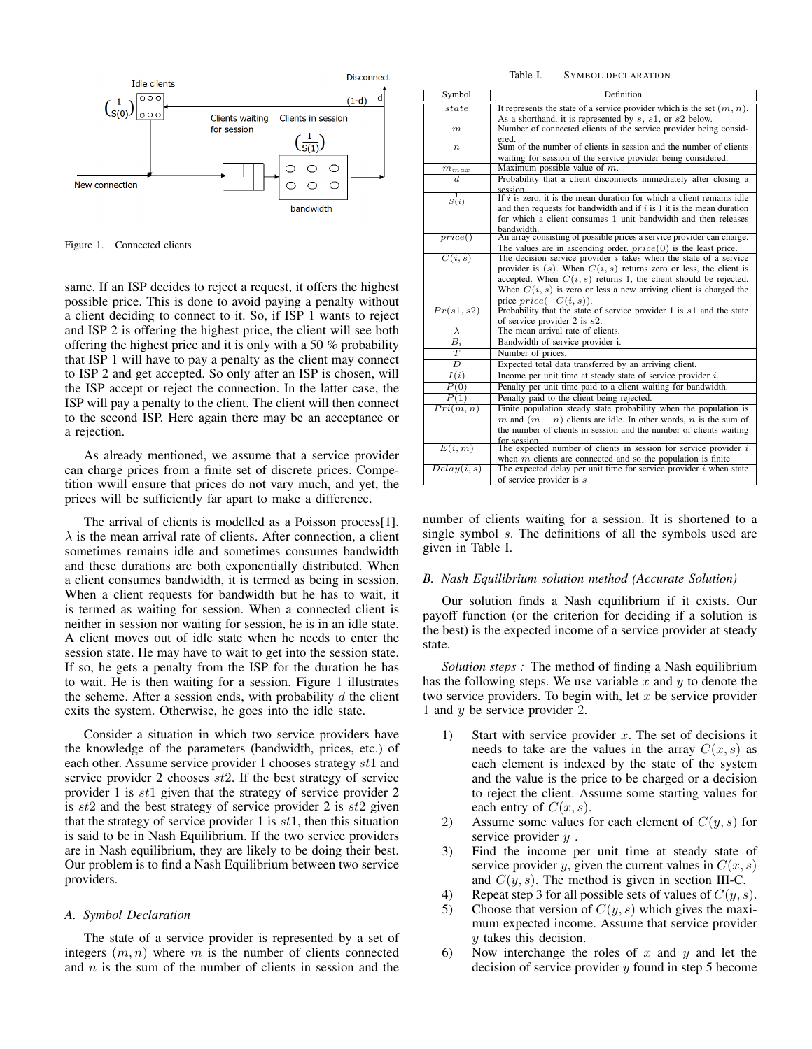

Figure 1. Connected clients

same. If an ISP decides to reject a request, it offers the highest possible price. This is done to avoid paying a penalty without a client deciding to connect to it. So, if ISP 1 wants to reject and ISP 2 is offering the highest price, the client will see both offering the highest price and it is only with a 50 % probability that ISP 1 will have to pay a penalty as the client may connect to ISP 2 and get accepted. So only after an ISP is chosen, will the ISP accept or reject the connection. In the latter case, the ISP will pay a penalty to the client. The client will then connect to the second ISP. Here again there may be an acceptance or a rejection.

As already mentioned, we assume that a service provider can charge prices from a finite set of discrete prices. Competition wwill ensure that prices do not vary much, and yet, the prices will be sufficiently far apart to make a difference.

The arrival of clients is modelled as a Poisson process[1].  $\lambda$  is the mean arrival rate of clients. After connection, a client sometimes remains idle and sometimes consumes bandwidth and these durations are both exponentially distributed. When a client consumes bandwidth, it is termed as being in session. When a client requests for bandwidth but he has to wait, it is termed as waiting for session. When a connected client is neither in session nor waiting for session, he is in an idle state. A client moves out of idle state when he needs to enter the session state. He may have to wait to get into the session state. If so, he gets a penalty from the ISP for the duration he has to wait. He is then waiting for a session. Figure 1 illustrates the scheme. After a session ends, with probability  $d$  the client exits the system. Otherwise, he goes into the idle state.

Consider a situation in which two service providers have the knowledge of the parameters (bandwidth, prices, etc.) of each other. Assume service provider 1 chooses strategy  $st1$  and service provider 2 chooses  $st2$ . If the best strategy of service provider 1 is st1 given that the strategy of service provider 2 is  $st2$  and the best strategy of service provider 2 is  $st2$  given that the strategy of service provider 1 is  $st1$ , then this situation is said to be in Nash Equilibrium. If the two service providers are in Nash equilibrium, they are likely to be doing their best. Our problem is to find a Nash Equilibrium between two service providers.

## *A. Symbol Declaration*

The state of a service provider is represented by a set of integers  $(m, n)$  where m is the number of clients connected and  $n$  is the sum of the number of clients in session and the

Table I. SYMBOL DECLARATION

| Symbol                   | Definition                                                                                            |  |  |  |
|--------------------------|-------------------------------------------------------------------------------------------------------|--|--|--|
| state                    | It represents the state of a service provider which is the set $(m, n)$ .                             |  |  |  |
|                          | As a shorthand, it is represented by $s$ , $s1$ , or $s2$ below.                                      |  |  |  |
| $\boldsymbol{m}$         | Number of connected clients of the service provider being consid-                                     |  |  |  |
|                          | ered.                                                                                                 |  |  |  |
| $\boldsymbol{n}$         | Sum of the number of clients in session and the number of clients                                     |  |  |  |
|                          | waiting for session of the service provider being considered.                                         |  |  |  |
| $m_{max}$                | Maximum possible value of $m$ .                                                                       |  |  |  |
| $^{d}$                   | Probability that a client disconnects immediately after closing a                                     |  |  |  |
|                          | session.                                                                                              |  |  |  |
| $\frac{1}{S(i)}$         | If $i$ is zero, it is the mean duration for which a client remains idle                               |  |  |  |
|                          | and then requests for bandwidth and if $i$ is 1 it is the mean duration                               |  |  |  |
|                          | for which a client consumes 1 unit bandwidth and then releases                                        |  |  |  |
| price()                  | bandwidth.<br>An array consisting of possible prices a service provider can charge.                   |  |  |  |
|                          | The values are in ascending order. $price(0)$ is the least price.                                     |  |  |  |
| C(i,s)                   | The decision service provider $i$ takes when the state of a service                                   |  |  |  |
|                          | provider is $(s)$ . When $C(i, s)$ returns zero or less, the client is                                |  |  |  |
|                          | accepted. When $C(i, s)$ returns 1, the client should be rejected.                                    |  |  |  |
|                          | When $C(i, s)$ is zero or less a new arriving client is charged the                                   |  |  |  |
|                          |                                                                                                       |  |  |  |
| Pr(s1, s2)               | price $price(-C(i, s))$ .<br>Probability that the state of service provider $1$ is $s1$ and the state |  |  |  |
|                          | of service provider 2 is $s2$ .                                                                       |  |  |  |
| $\lambda$                | The mean arrival rate of clients.                                                                     |  |  |  |
| $B_i$                    | Bandwidth of service provider i.                                                                      |  |  |  |
| $\overline{T}$           |                                                                                                       |  |  |  |
| $\overline{D}$           | Number of prices.                                                                                     |  |  |  |
|                          | Expected total data transferred by an arriving client.                                                |  |  |  |
| I(i)                     | Income per unit time at steady state of service provider $i$ .                                        |  |  |  |
| P(0)                     | Penalty per unit time paid to a client waiting for bandwidth.                                         |  |  |  |
| P(1)                     | Penalty paid to the client being rejected.                                                            |  |  |  |
| Pri(m, n)                | Finite population steady state probability when the population is                                     |  |  |  |
|                          | m and $(m - n)$ clients are idle. In other words, n is the sum of                                     |  |  |  |
|                          | the number of clients in session and the number of clients waiting                                    |  |  |  |
|                          | for session                                                                                           |  |  |  |
| E(i,m)                   | The expected number of clients in session for service provider $i$                                    |  |  |  |
|                          | when $m$ clients are connected and so the population is finite                                        |  |  |  |
| $\overline{Delay(i, s)}$ | The expected delay per unit time for service provider $i$ when state                                  |  |  |  |
|                          | of service provider is s                                                                              |  |  |  |

number of clients waiting for a session. It is shortened to a single symbol s. The definitions of all the symbols used are given in Table I.

#### *B. Nash Equilibrium solution method (Accurate Solution)*

Our solution finds a Nash equilibrium if it exists. Our payoff function (or the criterion for deciding if a solution is the best) is the expected income of a service provider at steady state.

*Solution steps :* The method of finding a Nash equilibrium has the following steps. We use variable x and y to denote the two service providers. To begin with, let  $x$  be service provider 1 and y be service provider 2.

- 1) Start with service provider  $x$ . The set of decisions it needs to take are the values in the array  $C(x, s)$  as each element is indexed by the state of the system and the value is the price to be charged or a decision to reject the client. Assume some starting values for each entry of  $C(x, s)$ .
- 2) Assume some values for each element of  $C(y, s)$  for service provider  $y$ .
- 3) Find the income per unit time at steady state of service provider y, given the current values in  $C(x, s)$ and  $C(y, s)$ . The method is given in section III-C.
- 4) Repeat step 3 for all possible sets of values of  $C(y, s)$ .<br>5) Choose that version of  $C(y, s)$  which gives the maxi-
- Choose that version of  $C(y, s)$  which gives the maximum expected income. Assume that service provider y takes this decision.
- 6) Now interchange the roles of x and y and let the decision of service provider  $y$  found in step 5 become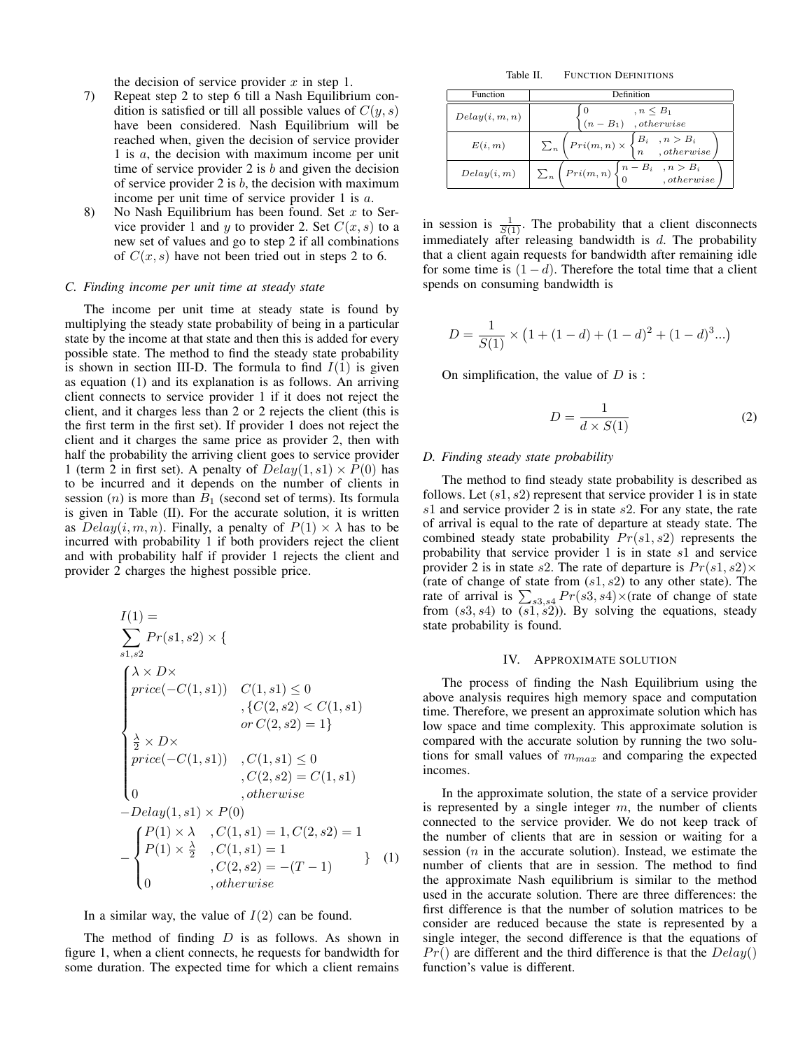the decision of service provider  $x$  in step 1.

- 7) Repeat step 2 to step 6 till a Nash Equilibrium condition is satisfied or till all possible values of  $C(y, s)$ have been considered. Nash Equilibrium will be reached when, given the decision of service provider 1 is a, the decision with maximum income per unit time of service provider  $2$  is  $b$  and given the decision of service provider 2 is  $b$ , the decision with maximum income per unit time of service provider 1 is a.
- 8) No Nash Equilibrium has been found. Set  $x$  to Service provider 1 and y to provider 2. Set  $C(x, s)$  to a new set of values and go to step 2 if all combinations of  $C(x, s)$  have not been tried out in steps 2 to 6.

#### *C. Finding income per unit time at steady state*

The income per unit time at steady state is found by multiplying the steady state probability of being in a particular state by the income at that state and then this is added for every possible state. The method to find the steady state probability is shown in section III-D. The formula to find  $I(1)$  is given as equation (1) and its explanation is as follows. An arriving client connects to service provider 1 if it does not reject the client, and it charges less than 2 or 2 rejects the client (this is the first term in the first set). If provider 1 does not reject the client and it charges the same price as provider 2, then with half the probability the arriving client goes to service provider 1 (term 2 in first set). A penalty of  $Delay(1, s1) \times P(0)$  has to be incurred and it depends on the number of clients in session (*n*) is more than  $B_1$  (second set of terms). Its formula is given in Table (II). For the accurate solution, it is written as  $Delay(i, m, n)$ . Finally, a penalty of  $P(1) \times \lambda$  has to be incurred with probability 1 if both providers reject the client and with probability half if provider 1 rejects the client and provider 2 charges the highest possible price.

$$
I(1) = \sum_{s1,s2} Pr(s1, s2) \times \left\{ \begin{aligned} &\text{price}(-C(1, s1)) & C(1, s1) \le 0 \\ &\text{price}(-C(1, s1)) & C(1, s1) \le 0 \\ &\text{for } C(2, s2) < C(1, s1) \\ &\text{price}(-C(1, s1)) & \text{, } C(1, s1) \le 0 \\ &\text{, } C(2, s2) = C(1, s1) \\ &\text{, } \text{otherwise} \end{aligned} \right\}
$$
\n
$$
-Delay(1, s1) \times P(0)
$$
\n
$$
- \begin{cases} P(1) \times \lambda & \text{, } C(1, s1) = 1, C(2, s2) = 1 \\ P(1) \times \frac{\lambda}{2} & \text{, } C(1, s1) = 1 \\ &\text{, } C(2, s2) = -(T - 1) \end{cases} \tag{1}
$$

In a similar way, the value of  $I(2)$  can be found.

The method of finding  $D$  is as follows. As shown in figure 1, when a client connects, he requests for bandwidth for some duration. The expected time for which a client remains

Table II. FUNCTION DEFINITIONS

| Function       | Definition                                                                                         |
|----------------|----------------------------------------------------------------------------------------------------|
| Delay(i, m, n) | $n \leq B_1$<br>$(n - B_1)$ , otherwise                                                            |
| E(i,m)         | $Pri(m, n) \times \begin{cases} B_i, & n > B_i \\ n, & otherwise \end{cases}$<br>$\sum_n$          |
| Delay(i, m)    | $\begin{cases} n-B_i, n > B_i \\ 0, otherwise \end{cases}$<br>$\sum_{n}$ $\Big(\, Pri(m, n) \cdot$ |

in session is  $\frac{1}{S(1)}$ . The probability that a client disconnects immediately after releasing bandwidth is  $d$ . The probability that a client again requests for bandwidth after remaining idle for some time is  $(1 - d)$ . Therefore the total time that a client spends on consuming bandwidth is

$$
D = \frac{1}{S(1)} \times (1 + (1 - d) + (1 - d)^{2} + (1 - d)^{3}...)
$$

On simplification, the value of  $D$  is :

$$
D = \frac{1}{d \times S(1)}\tag{2}
$$

#### *D. Finding steady state probability*

The method to find steady state probability is described as follows. Let  $(s1, s2)$  represent that service provider 1 is in state s1 and service provider 2 is in state s2. For any state, the rate of arrival is equal to the rate of departure at steady state. The combined steady state probability  $Pr(s1, s2)$  represents the probability that service provider 1 is in state s1 and service provider 2 is in state s2. The rate of departure is  $Pr(s1, s2) \times$ (rate of change of state from  $(s1, s2)$  to any other state). The rate of arrival is  $\sum_{s3, s4} Pr(s3, s4) \times (rate \text{ of change of state})$ from  $(s3, s4)$  to  $(s1, s2)$ ). By solving the equations, steady state probability is found.

#### IV. APPROXIMATE SOLUTION

The process of finding the Nash Equilibrium using the above analysis requires high memory space and computation time. Therefore, we present an approximate solution which has low space and time complexity. This approximate solution is compared with the accurate solution by running the two solutions for small values of  $m_{max}$  and comparing the expected incomes.

In the approximate solution, the state of a service provider is represented by a single integer  $m$ , the number of clients connected to the service provider. We do not keep track of the number of clients that are in session or waiting for a session  $(n$  in the accurate solution). Instead, we estimate the number of clients that are in session. The method to find the approximate Nash equilibrium is similar to the method used in the accurate solution. There are three differences: the first difference is that the number of solution matrices to be consider are reduced because the state is represented by a single integer, the second difference is that the equations of  $Pr()$  are different and the third difference is that the  $Delay()$ function's value is different.